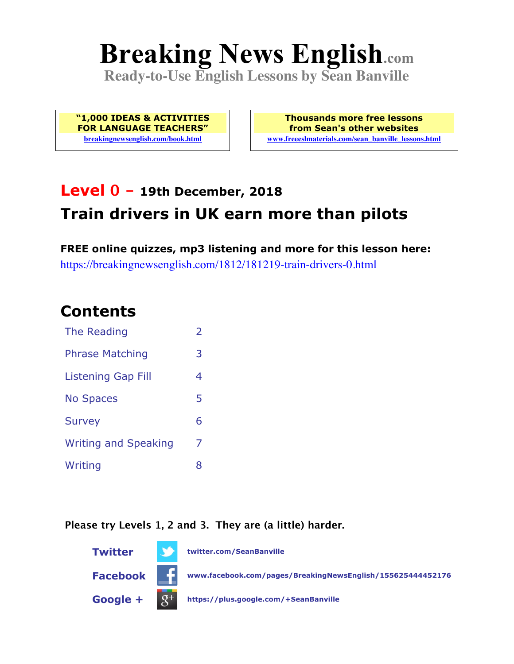# **Breaking News English.com**

**Ready-to-Use English Lessons by Sean Banville**

**"1,000 IDEAS & ACTIVITIES FOR LANGUAGE TEACHERS" breakingnewsenglish.com/book.html**

**Thousands more free lessons from Sean's other websites www.freeeslmaterials.com/sean\_banville\_lessons.html**

# **Level 0 - 19th December, 2018 Train drivers in UK earn more than pilots**

**FREE online quizzes, mp3 listening and more for this lesson here:** https://breakingnewsenglish.com/1812/181219-train-drivers-0.html

#### **Contents**

| The Reading                 | $\overline{\phantom{a}}$ |
|-----------------------------|--------------------------|
| <b>Phrase Matching</b>      | 3                        |
| Listening Gap Fill          | 4                        |
| <b>No Spaces</b>            | 5                        |
| <b>Survey</b>               | 6                        |
| <b>Writing and Speaking</b> | 7                        |
| Writing                     | 8                        |

**Please try Levels 1, 2 and 3. They are (a little) harder.**

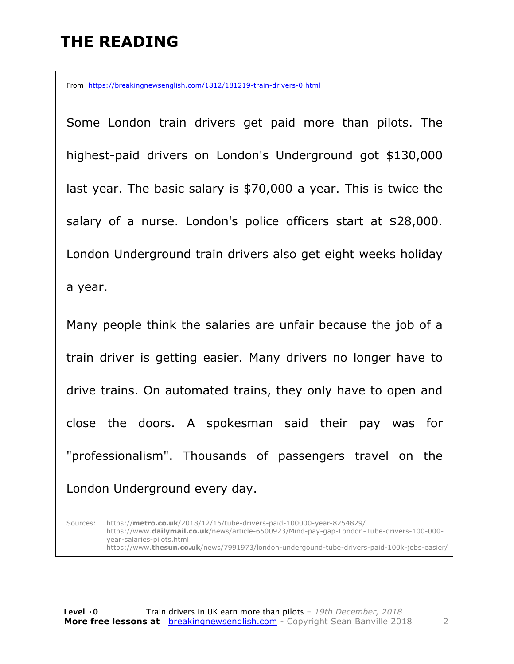## **THE READING**

From https://breakingnewsenglish.com/1812/181219-train-drivers-0.html

Some London train drivers get paid more than pilots. The highest-paid drivers on London's Underground got \$130,000 last year. The basic salary is \$70,000 a year. This is twice the salary of a nurse. London's police officers start at \$28,000. London Underground train drivers also get eight weeks holiday a year.

Many people think the salaries are unfair because the job of a train driver is getting easier. Many drivers no longer have to drive trains. On automated trains, they only have to open and close the doors. A spokesman said their pay was for "professionalism". Thousands of passengers travel on the London Underground every day.

Sources: https://**metro.co.uk**/2018/12/16/tube-drivers-paid-100000-year-8254829/ https://www.**dailymail.co.uk**/news/article-6500923/Mind-pay-gap-London-Tube-drivers-100-000 year-salaries-pilots.html https://www.**thesun.co.uk**/news/7991973/london-undergound-tube-drivers-paid-100k-jobs-easier/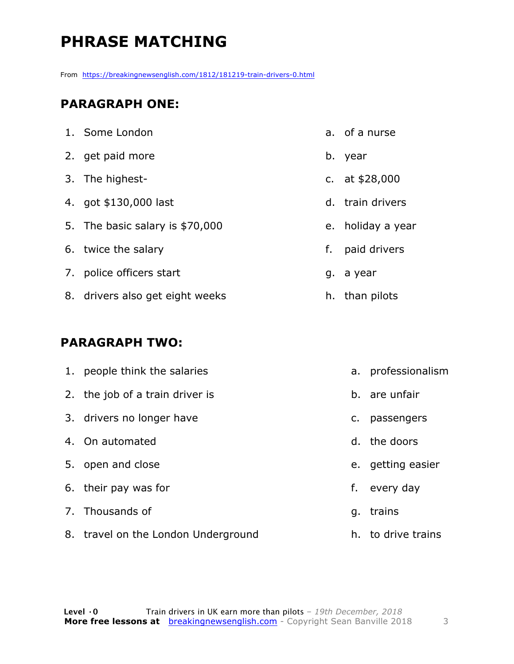# **PHRASE MATCHING**

From https://breakingnewsenglish.com/1812/181219-train-drivers-0.html

#### **PARAGRAPH ONE:**

| 1. Some London                  |    | a. of a nurse     |
|---------------------------------|----|-------------------|
| 2. get paid more                |    | b. year           |
| 3. The highest-                 |    | c. at $$28,000$   |
| 4. got \$130,000 last           |    | d. train drivers  |
| 5. The basic salary is \$70,000 |    | e. holiday a year |
| 6. twice the salary             | f. | paid drivers      |
| 7. police officers start        |    | g. a year         |
| 8. drivers also get eight weeks |    | h. than pilots    |

#### **PARAGRAPH TWO:**

|    | 1. people think the salaries        |    | a. professionalism |
|----|-------------------------------------|----|--------------------|
|    | 2. the job of a train driver is     |    | b. are unfair      |
|    | 3. drivers no longer have           |    | c. passengers      |
|    | 4. On automated                     |    | d. the doors       |
| 5. | open and close                      |    | e. getting easier  |
|    | 6. their pay was for                | f. | every day          |
|    | 7. Thousands of                     | g. | trains             |
|    | 8. travel on the London Underground | h. | to drive trains    |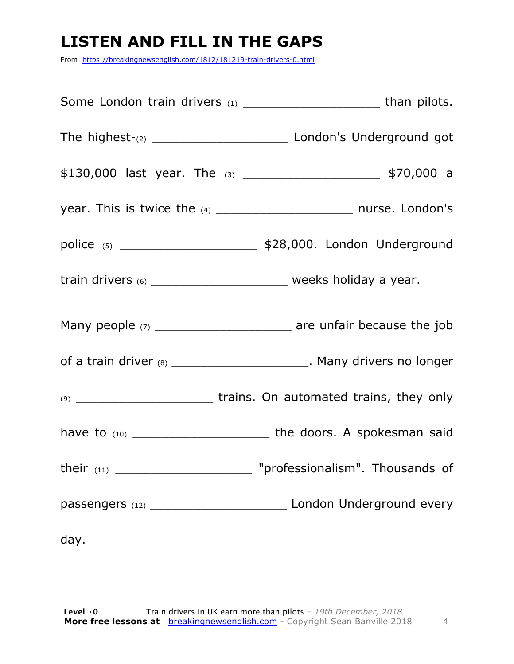## **LISTEN AND FILL IN THE GAPS**

From https://breakingnewsenglish.com/1812/181219-train-drivers-0.html

|      | Some London train drivers (1) _______________________________than pilots.      |
|------|--------------------------------------------------------------------------------|
|      |                                                                                |
|      |                                                                                |
|      |                                                                                |
|      |                                                                                |
|      | train drivers $(6)$ ___________________________ weeks holiday a year.          |
|      | Many people $(7)$ _________________________________ are unfair because the job |
|      | of a train driver (8) _________________________. Many drivers no longer        |
|      | (9) ________________________________trains. On automated trains, they only     |
|      |                                                                                |
|      | their (11) ______________________________ "professionalism". Thousands of      |
|      |                                                                                |
| day. |                                                                                |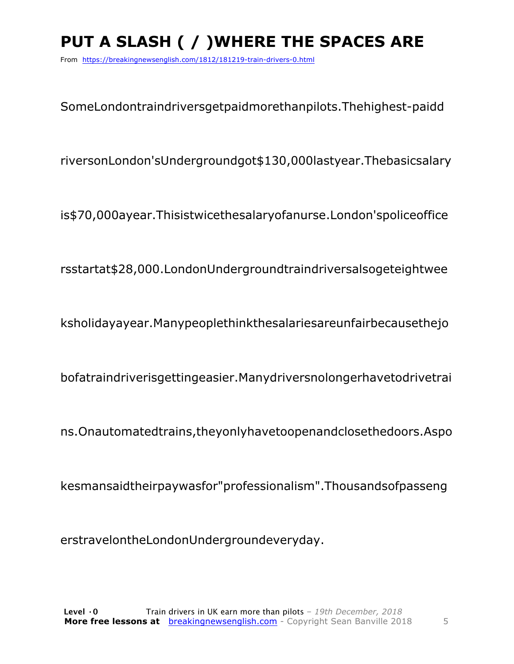# **PUT A SLASH ( / )WHERE THE SPACES ARE**

From https://breakingnewsenglish.com/1812/181219-train-drivers-0.html

SomeLondontraindriversgetpaidmorethanpilots.Thehighest-paidd

riversonLondon'sUndergroundgot\$130,000lastyear.Thebasicsalary

is\$70,000ayear.Thisistwicethesalaryofanurse.London'spoliceoffice

rsstartat\$28,000.LondonUndergroundtraindriversalsogeteightwee

ksholidayayear.Manypeoplethinkthesalariesareunfairbecausethejo

bofatraindriverisgettingeasier.Manydriversnolongerhavetodrivetrai

ns.Onautomatedtrains,theyonlyhavetoopenandclosethedoors.Aspo

kesmansaidtheirpaywasfor"professionalism".Thousandsofpasseng

erstravelontheLondonUndergroundeveryday.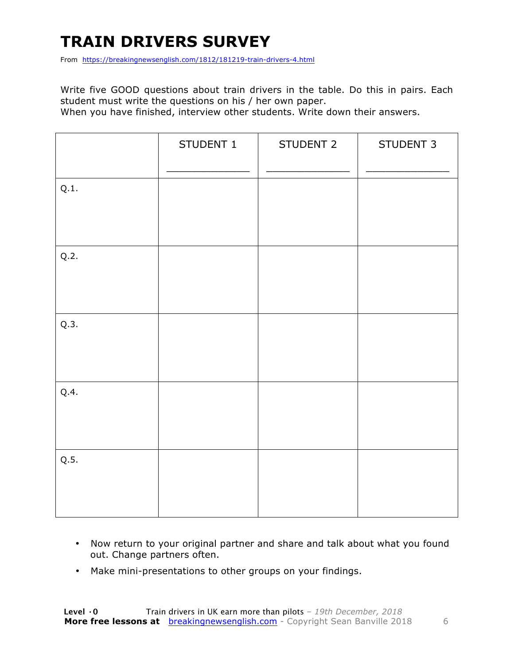# **TRAIN DRIVERS SURVEY**

From https://breakingnewsenglish.com/1812/181219-train-drivers-4.html

Write five GOOD questions about train drivers in the table. Do this in pairs. Each student must write the questions on his / her own paper.

When you have finished, interview other students. Write down their answers.

|      | STUDENT 1 | STUDENT 2 | STUDENT 3 |
|------|-----------|-----------|-----------|
| Q.1. |           |           |           |
| Q.2. |           |           |           |
| Q.3. |           |           |           |
| Q.4. |           |           |           |
| Q.5. |           |           |           |

- Now return to your original partner and share and talk about what you found out. Change partners often.
- Make mini-presentations to other groups on your findings.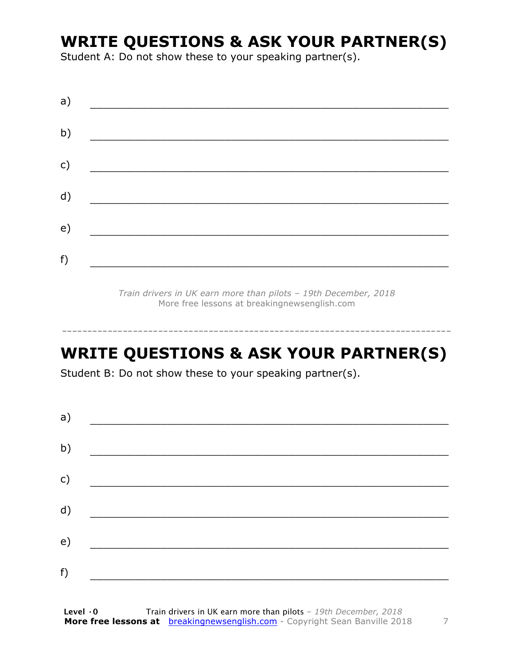### **WRITE QUESTIONS & ASK YOUR PARTNER(S)**

Student A: Do not show these to your speaking partner(s).

| a) |  |  |
|----|--|--|
| b) |  |  |
| c) |  |  |
| d) |  |  |
| e) |  |  |
|    |  |  |
| f) |  |  |

*Train drivers in UK earn more than pilots – 19th December, 2018* More free lessons at breakingnewsenglish.com

#### **WRITE QUESTIONS & ASK YOUR PARTNER(S)**

-----------------------------------------------------------------------------

Student B: Do not show these to your speaking partner(s).

| a) |  |  |
|----|--|--|
| b) |  |  |
| c) |  |  |
| d) |  |  |
| e) |  |  |
| f) |  |  |
|    |  |  |